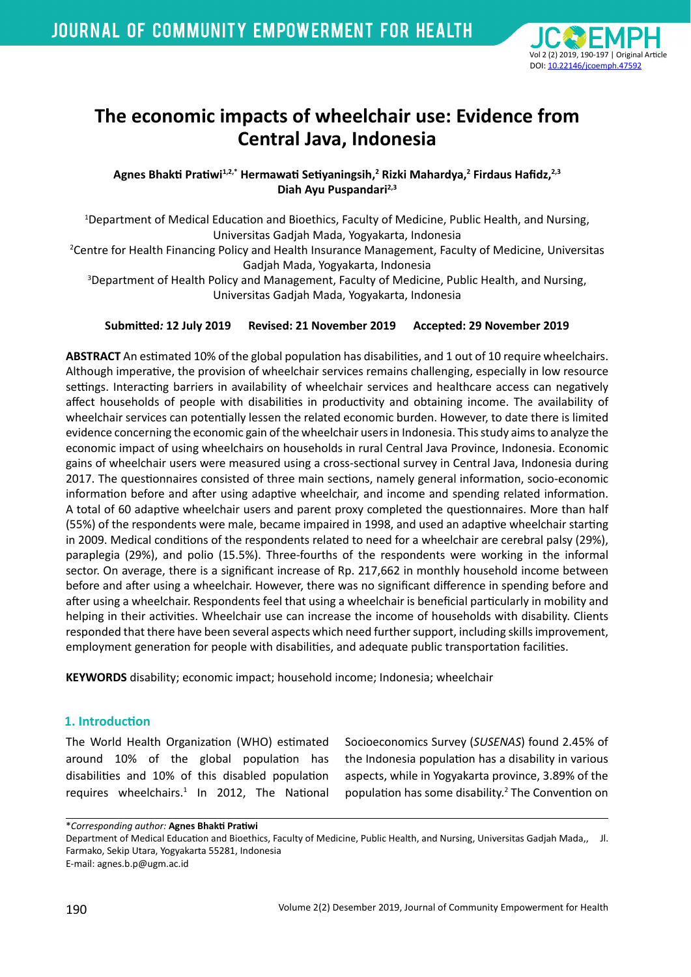

# **The economic impacts of wheelchair use: Evidence from Central Java, Indonesia**

Agnes Bhakti Pratiwi<sup>1,2,\*</sup> Hermawati Setiyaningsih,<sup>2</sup> Rizki Mahardya,<sup>2</sup> Firdaus Hafidz,<sup>2,3</sup> **Diah Ayu Puspandari2,3**

1 Department of Medical Education and Bioethics, Faculty of Medicine, Public Health, and Nursing, Universitas Gadjah Mada, Yogyakarta, Indonesia

2 Centre for Health Financing Policy and Health Insurance Management, Faculty of Medicine, Universitas Gadjah Mada, Yogyakarta, Indonesia

3 Department of Health Policy and Management, Faculty of Medicine, Public Health, and Nursing, Universitas Gadjah Mada, Yogyakarta, Indonesia

## **Submitted***:* **12 July 2019 Revised: 21 November 2019 Accepted: 29 November 2019**

**ABSTRACT** An estimated 10% of the global population has disabilities, and 1 out of 10 require wheelchairs. Although imperative, the provision of wheelchair services remains challenging, especially in low resource settings. Interacting barriers in availability of wheelchair services and healthcare access can negatively affect households of people with disabilities in productivity and obtaining income. The availability of wheelchair services can potentially lessen the related economic burden. However, to date there is limited evidence concerning the economic gain of the wheelchair users in Indonesia. This study aims to analyze the economic impact of using wheelchairs on households in rural Central Java Province, Indonesia. Economic gains of wheelchair users were measured using a cross-sectional survey in Central Java, Indonesia during 2017. The questionnaires consisted of three main sections, namely general information, socio-economic information before and after using adaptive wheelchair, and income and spending related information. A total of 60 adaptive wheelchair users and parent proxy completed the questionnaires. More than half (55%) of the respondents were male, became impaired in 1998, and used an adaptive wheelchair starting in 2009. Medical conditions of the respondents related to need for a wheelchair are cerebral palsy (29%), paraplegia (29%), and polio (15.5%). Three-fourths of the respondents were working in the informal sector. On average, there is a significant increase of Rp. 217,662 in monthly household income between before and after using a wheelchair. However, there was no significant difference in spending before and after using a wheelchair. Respondents feel that using a wheelchair is beneficial particularly in mobility and helping in their activities. Wheelchair use can increase the income of households with disability. Clients responded that there have been several aspects which need further support, including skills improvement, employment generation for people with disabilities, and adequate public transportation facilities.

**KEYWORDS** disability; economic impact; household income; Indonesia; wheelchair

## **1. Introduction**

The World Health Organization (WHO) estimated around 10% of the global population has disabilities and 10% of this disabled population requires wheelchairs.<sup>1</sup> In 2012, The National Socioeconomics Survey (*SUSENAS*) found 2.45% of the Indonesia population has a disability in various aspects, while in Yogyakarta province, 3.89% of the population has some disability.<sup>2</sup> The Convention on

\**Corresponding author:* **Agnes Bhakti Pratiwi**

Department of Medical Education and Bioethics, Faculty of Medicine, Public Health, and Nursing, Universitas Gadjah Mada,, Jl. Farmako, Sekip Utara, Yogyakarta 55281, Indonesia

E-mail: agnes.b.p@ugm.ac.id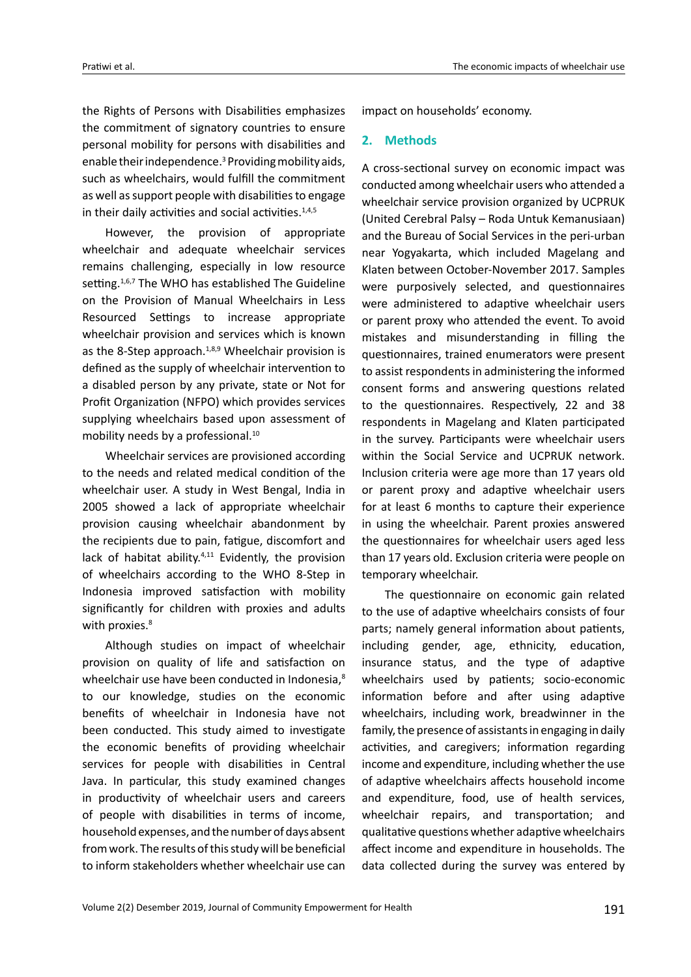the Rights of Persons with Disabilities emphasizes the commitment of signatory countries to ensure personal mobility for persons with disabilities and enable their independence.<sup>3</sup> Providing mobility aids, such as wheelchairs, would fulfill the commitment as well as support people with disabilities to engage in their daily activities and social activities. $1,4,5$ 

However, the provision of appropriate wheelchair and adequate wheelchair services remains challenging, especially in low resource setting.<sup>1,6,7</sup> The WHO has established The Guideline on the Provision of Manual Wheelchairs in Less Resourced Settings to increase appropriate wheelchair provision and services which is known as the 8-Step approach. $1,8,9$  Wheelchair provision is defined as the supply of wheelchair intervention to a disabled person by any private, state or Not for Profit Organization (NFPO) which provides services supplying wheelchairs based upon assessment of mobility needs by a professional.<sup>10</sup>

Wheelchair services are provisioned according to the needs and related medical condition of the wheelchair user. A study in West Bengal, India in 2005 showed a lack of appropriate wheelchair provision causing wheelchair abandonment by the recipients due to pain, fatigue, discomfort and lack of habitat ability.<sup>4,11</sup> Evidently, the provision of wheelchairs according to the WHO 8-Step in Indonesia improved satisfaction with mobility significantly for children with proxies and adults with proxies.<sup>8</sup>

Although studies on impact of wheelchair provision on quality of life and satisfaction on wheelchair use have been conducted in Indonesia,<sup>8</sup> to our knowledge, studies on the economic benefits of wheelchair in Indonesia have not been conducted. This study aimed to investigate the economic benefits of providing wheelchair services for people with disabilities in Central Java. In particular, this study examined changes in productivity of wheelchair users and careers of people with disabilities in terms of income, household expenses, and the number of days absent from work. The results of this study will be beneficial to inform stakeholders whether wheelchair use can

impact on households' economy.

## **2. Methods**

A cross-sectional survey on economic impact was conducted among wheelchair users who attended a wheelchair service provision organized by UCPRUK (United Cerebral Palsy – Roda Untuk Kemanusiaan) and the Bureau of Social Services in the peri-urban near Yogyakarta, which included Magelang and Klaten between October-November 2017. Samples were purposively selected, and questionnaires were administered to adaptive wheelchair users or parent proxy who attended the event. To avoid mistakes and misunderstanding in filling the questionnaires, trained enumerators were present to assist respondents in administering the informed consent forms and answering questions related to the questionnaires. Respectively, 22 and 38 respondents in Magelang and Klaten participated in the survey. Participants were wheelchair users within the Social Service and UCPRUK network. Inclusion criteria were age more than 17 years old or parent proxy and adaptive wheelchair users for at least 6 months to capture their experience in using the wheelchair. Parent proxies answered the questionnaires for wheelchair users aged less than 17 years old. Exclusion criteria were people on temporary wheelchair.

The questionnaire on economic gain related to the use of adaptive wheelchairs consists of four parts; namely general information about patients, including gender, age, ethnicity, education, insurance status, and the type of adaptive wheelchairs used by patients; socio-economic information before and after using adaptive wheelchairs, including work, breadwinner in the family, the presence of assistants in engaging in daily activities, and caregivers; information regarding income and expenditure, including whether the use of adaptive wheelchairs affects household income and expenditure, food, use of health services, wheelchair repairs, and transportation; and qualitative questions whether adaptive wheelchairs affect income and expenditure in households. The data collected during the survey was entered by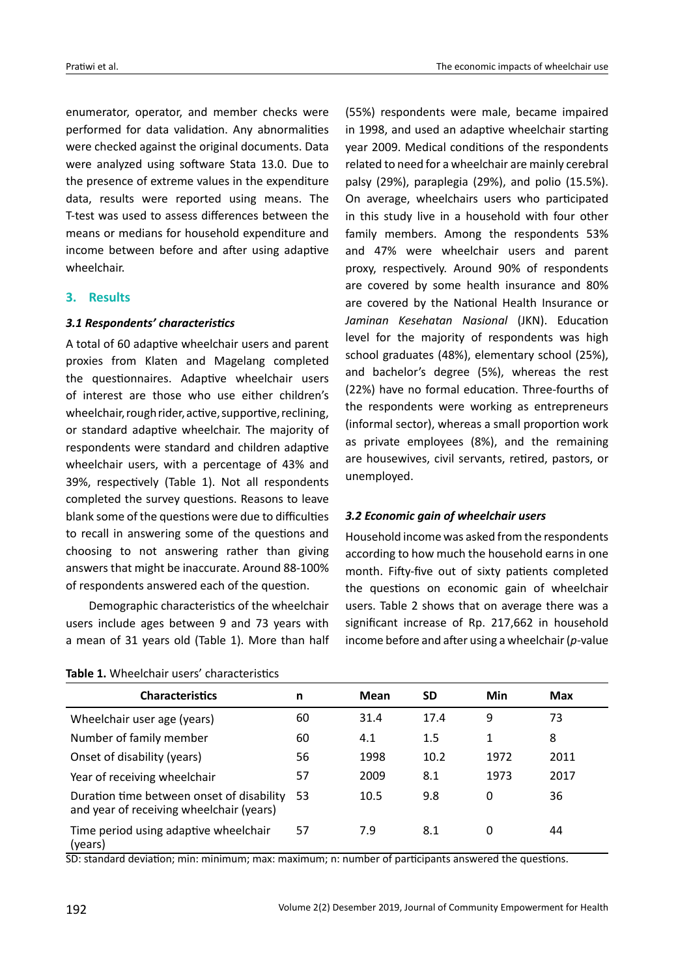enumerator, operator, and member checks were performed for data validation. Any abnormalities were checked against the original documents. Data were analyzed using software Stata 13.0. Due to the presence of extreme values in the expenditure data, results were reported using means. The T-test was used to assess differences between the means or medians for household expenditure and income between before and after using adaptive wheelchair.

## **3. Results**

### *3.1 Respondents' characteristics*

A total of 60 adaptive wheelchair users and parent proxies from Klaten and Magelang completed the questionnaires. Adaptive wheelchair users of interest are those who use either children's wheelchair, rough rider, active, supportive, reclining, or standard adaptive wheelchair. The majority of respondents were standard and children adaptive wheelchair users, with a percentage of 43% and 39%, respectively (Table 1). Not all respondents completed the survey questions. Reasons to leave blank some of the questions were due to difficulties to recall in answering some of the questions and choosing to not answering rather than giving answers that might be inaccurate. Around 88-100% of respondents answered each of the question.

Demographic characteristics of the wheelchair users include ages between 9 and 73 years with a mean of 31 years old (Table 1). More than half

| Table 1. Wheelchair users' characteristics |
|--------------------------------------------|
|--------------------------------------------|

(55%) respondents were male, became impaired in 1998, and used an adaptive wheelchair starting year 2009. Medical conditions of the respondents related to need for a wheelchair are mainly cerebral palsy (29%), paraplegia (29%), and polio (15.5%). On average, wheelchairs users who participated in this study live in a household with four other family members. Among the respondents 53% and 47% were wheelchair users and parent proxy, respectively. Around 90% of respondents are covered by some health insurance and 80% are covered by the National Health Insurance or *Jaminan Kesehatan Nasional* (JKN). Education level for the majority of respondents was high school graduates (48%), elementary school (25%), and bachelor's degree (5%), whereas the rest (22%) have no formal education. Three-fourths of the respondents were working as entrepreneurs (informal sector), whereas a small proportion work as private employees (8%), and the remaining are housewives, civil servants, retired, pastors, or unemployed.

## *3.2 Economic gain of wheelchair users*

Household income was asked from the respondents according to how much the household earns in one month. Fifty-five out of sixty patients completed the questions on economic gain of wheelchair users. Table 2 shows that on average there was a significant increase of Rp. 217,662 in household income before and after using a wheelchair (*p*-value

| <b>Characteristics</b>                                                                | n  | <b>Mean</b> | SD   | Min  | <b>Max</b> |
|---------------------------------------------------------------------------------------|----|-------------|------|------|------------|
| Wheelchair user age (years)                                                           | 60 | 31.4        | 17.4 | 9    | 73         |
| Number of family member                                                               | 60 | 4.1         | 1.5  | 1    | 8          |
| Onset of disability (years)                                                           | 56 | 1998        | 10.2 | 1972 | 2011       |
| Year of receiving wheelchair                                                          | 57 | 2009        | 8.1  | 1973 | 2017       |
| Duration time between onset of disability<br>and year of receiving wheelchair (years) | 53 | 10.5        | 9.8  | 0    | 36         |
| Time period using adaptive wheelchair<br>(years)                                      | 57 | 7.9         | 8.1  | 0    | 44         |

SD: standard deviation; min: minimum; max: maximum; n: number of participants answered the questions.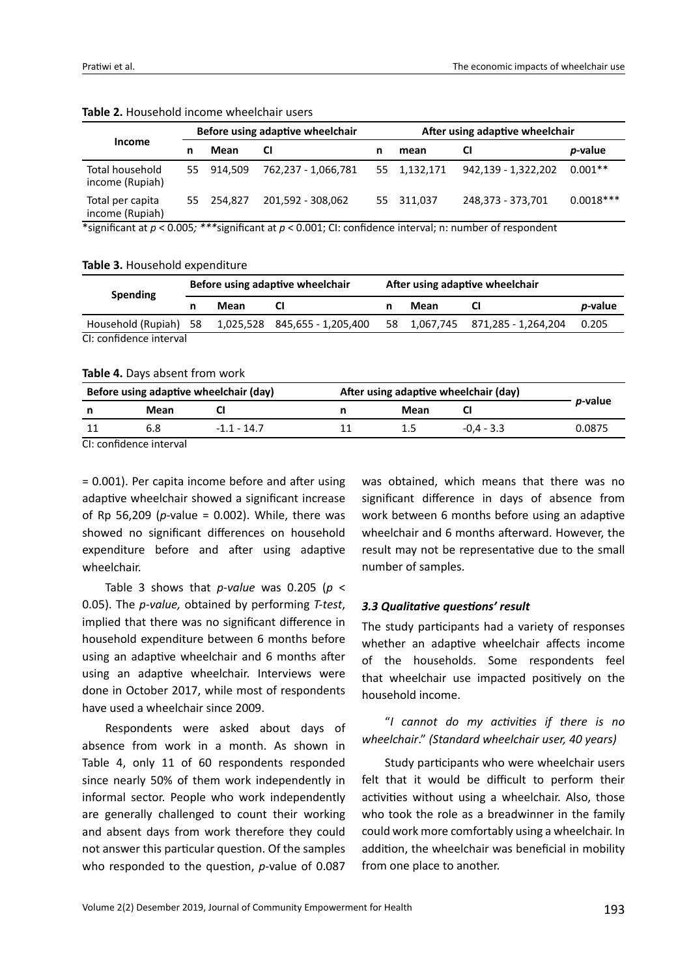|                                     | Before using adaptive wheelchair |            |                     | After using adaptive wheelchair |              |                     |                 |
|-------------------------------------|----------------------------------|------------|---------------------|---------------------------------|--------------|---------------------|-----------------|
| Income                              |                                  | Mean       | CI                  |                                 | mean         | <b>CI</b>           | <i>p</i> -value |
| Total household<br>income (Rupiah)  |                                  | 55 914.509 | 762,237 - 1,066,781 |                                 | 55 1,132,171 | 942,139 - 1,322,202 | $0.001**$       |
| Total per capita<br>income (Rupiah) |                                  | 55 254.827 | 201,592 - 308,062   |                                 | 55 311,037   | 248,373 - 373,701   | $0.0018***$     |

#### **Table 2.** Household income wheelchair users

\*significant at *p* < 0.005*; \*\*\**significant at *p* < 0.001; CI: confidence interval; n: number of respondent

#### **Table 3.** Household expenditure

| <b>Spending</b>         | Before using adaptive wheelchair |      | After using adaptive wheelchair |    |      |                               |                 |
|-------------------------|----------------------------------|------|---------------------------------|----|------|-------------------------------|-----------------|
|                         |                                  | Mean |                                 |    | Mean |                               | <i>p</i> -value |
| Household (Rupiah) 58   |                                  |      |                                 | 58 |      | 1,067,745 871,285 - 1,264,204 | 0.205           |
| CI: confidence interval |                                  |      |                                 |    |      |                               |                 |

**Table 4.** Days absent from work

|                               |      | Before using adaptive wheelchair (day) | After using adaptive wheelchair (day) |      |              |                 |  |
|-------------------------------|------|----------------------------------------|---------------------------------------|------|--------------|-----------------|--|
|                               | Mean |                                        |                                       | Mean |              | <i>p</i> -value |  |
|                               |      | $-1.1 - 14.7$                          |                                       |      | $-0.4 - 3.3$ | 0.0875          |  |
| المرسمة مزارع ومستملح كمستمرض |      |                                        |                                       |      |              |                 |  |

CI: confidence interval

= 0.001). Per capita income before and after using adaptive wheelchair showed a significant increase of Rp 56,209 (*p*-value = 0.002). While, there was showed no significant differences on household expenditure before and after using adaptive wheelchair.

Table 3 shows that *p-value* was 0.205 (*p* < 0.05). The *p-value,* obtained by performing *T-test*, implied that there was no significant difference in household expenditure between 6 months before using an adaptive wheelchair and 6 months after using an adaptive wheelchair. Interviews were done in October 2017, while most of respondents have used a wheelchair since 2009.

Respondents were asked about days of absence from work in a month. As shown in Table 4, only 11 of 60 respondents responded since nearly 50% of them work independently in informal sector. People who work independently are generally challenged to count their working and absent days from work therefore they could not answer this particular question. Of the samples who responded to the question, *p*-value of 0.087

was obtained, which means that there was no significant difference in days of absence from work between 6 months before using an adaptive wheelchair and 6 months afterward. However, the result may not be representative due to the small number of samples.

#### *3.3 Qualitative questions' result*

The study participants had a variety of responses whether an adaptive wheelchair affects income of the households. Some respondents feel that wheelchair use impacted positively on the household income.

"*I cannot do my activities if there is no wheelchair*." *(Standard wheelchair user, 40 years)*

Study participants who were wheelchair users felt that it would be difficult to perform their activities without using a wheelchair. Also, those who took the role as a breadwinner in the family could work more comfortably using a wheelchair. In addition, the wheelchair was beneficial in mobility from one place to another.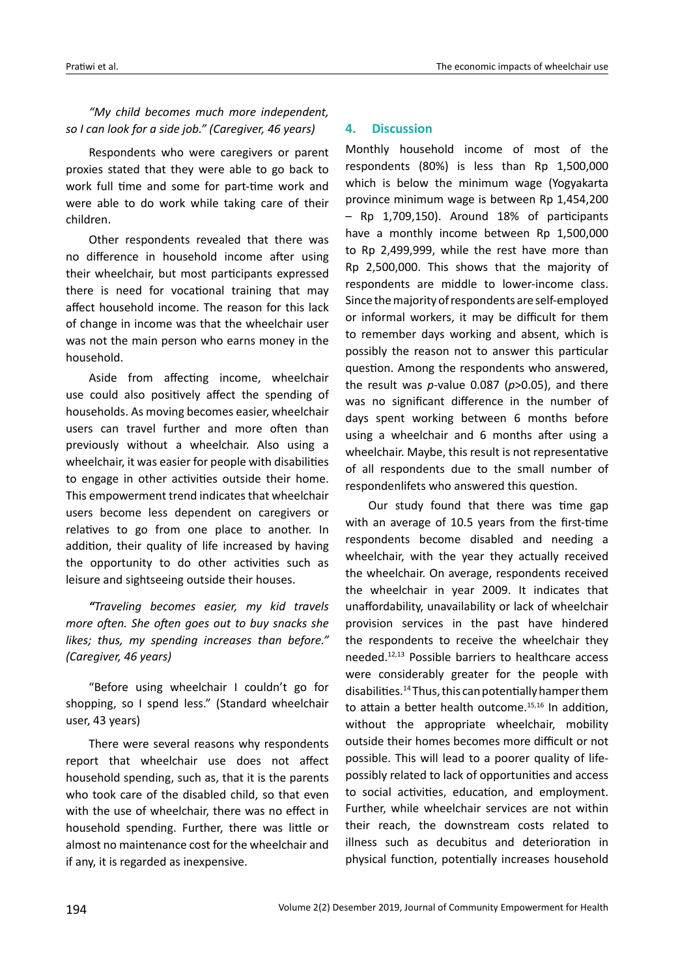## *"My child becomes much more independent, so I can look for a side job." (Caregiver, 46 years)*

Respondents who were caregivers or parent proxies stated that they were able to go back to work full time and some for part-time work and were able to do work while taking care of their children.

Other respondents revealed that there was no difference in household income after using their wheelchair, but most participants expressed there is need for vocational training that may affect household income. The reason for this lack of change in income was that the wheelchair user was not the main person who earns money in the household.

Aside from affecting income, wheelchair use could also positively affect the spending of households. As moving becomes easier, wheelchair users can travel further and more often than previously without a wheelchair. Also using a wheelchair, it was easier for people with disabilities to engage in other activities outside their home. This empowerment trend indicates that wheelchair users become less dependent on caregivers or relatives to go from one place to another. In addition, their quality of life increased by having the opportunity to do other activities such as leisure and sightseeing outside their houses.

*"Traveling becomes easier, my kid travels more often. She often goes out to buy snacks she likes; thus, my spending increases than before." (Caregiver, 46 years)*

"Before using wheelchair I couldn't go for shopping, so I spend less." (Standard wheelchair user, 43 years)

There were several reasons why respondents report that wheelchair use does not affect household spending, such as, that it is the parents who took care of the disabled child, so that even with the use of wheelchair, there was no effect in household spending. Further, there was little or almost no maintenance cost for the wheelchair and if any, it is regarded as inexpensive.

## **4. Discussion**

Monthly household income of most of the respondents (80%) is less than Rp 1,500,000 which is below the minimum wage (Yogyakarta province minimum wage is between Rp 1,454,200 – Rp 1,709,150). Around 18% of participants have a monthly income between Rp 1,500,000 to Rp 2,499,999, while the rest have more than Rp 2,500,000. This shows that the majority of respondents are middle to lower-income class. Since the majority of respondents are self-employed or informal workers, it may be difficult for them to remember days working and absent, which is possibly the reason not to answer this particular question. Among the respondents who answered, the result was *p*-value 0.087 (*p*>0.05), and there was no significant difference in the number of days spent working between 6 months before using a wheelchair and 6 months after using a wheelchair. Maybe, this result is not representative of all respondents due to the small number of respondenlifets who answered this question.

Our study found that there was time gap with an average of 10.5 years from the first-time respondents become disabled and needing a wheelchair, with the year they actually received the wheelchair. On average, respondents received the wheelchair in year 2009. It indicates that unaffordability, unavailability or lack of wheelchair provision services in the past have hindered the respondents to receive the wheelchair they needed.12,13 Possible barriers to healthcare access were considerably greater for the people with disabilities.14 Thus, this can potentially hamper them to attain a better health outcome. $15,16$  In addition, without the appropriate wheelchair, mobility outside their homes becomes more difficult or not possible. This will lead to a poorer quality of lifepossibly related to lack of opportunities and access to social activities, education, and employment. Further, while wheelchair services are not within their reach, the downstream costs related to illness such as decubitus and deterioration in physical function, potentially increases household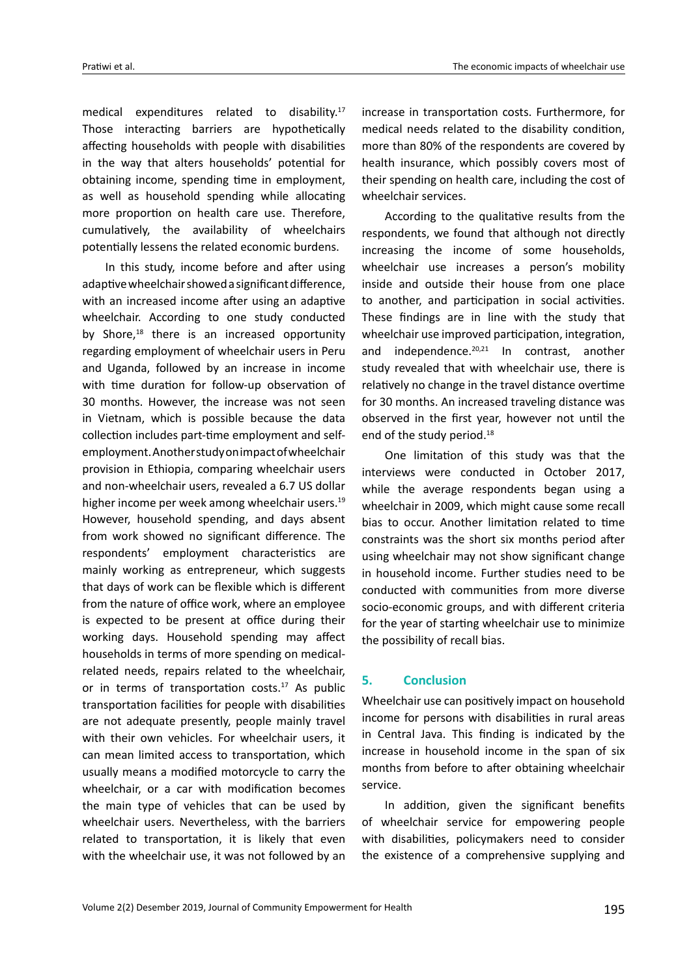medical expenditures related to disability.17 Those interacting barriers are hypothetically affecting households with people with disabilities in the way that alters households' potential for obtaining income, spending time in employment, as well as household spending while allocating more proportion on health care use. Therefore, cumulatively, the availability of wheelchairs potentially lessens the related economic burdens.

In this study, income before and after using adaptive wheelchair showed a significant difference, with an increased income after using an adaptive wheelchair. According to one study conducted by Shore, $18$  there is an increased opportunity regarding employment of wheelchair users in Peru and Uganda, followed by an increase in income with time duration for follow-up observation of 30 months. However, the increase was not seen in Vietnam, which is possible because the data collection includes part-time employment and selfemployment. Another study on impact of wheelchair provision in Ethiopia, comparing wheelchair users and non-wheelchair users, revealed a 6.7 US dollar higher income per week among wheelchair users.<sup>19</sup> However, household spending, and days absent from work showed no significant difference. The respondents' employment characteristics are mainly working as entrepreneur, which suggests that days of work can be flexible which is different from the nature of office work, where an employee is expected to be present at office during their working days. Household spending may affect households in terms of more spending on medicalrelated needs, repairs related to the wheelchair, or in terms of transportation costs.<sup>17</sup> As public transportation facilities for people with disabilities are not adequate presently, people mainly travel with their own vehicles. For wheelchair users, it can mean limited access to transportation, which usually means a modified motorcycle to carry the wheelchair, or a car with modification becomes the main type of vehicles that can be used by wheelchair users. Nevertheless, with the barriers related to transportation, it is likely that even with the wheelchair use, it was not followed by an

increase in transportation costs. Furthermore, for medical needs related to the disability condition, more than 80% of the respondents are covered by health insurance, which possibly covers most of their spending on health care, including the cost of wheelchair services.

According to the qualitative results from the respondents, we found that although not directly increasing the income of some households, wheelchair use increases a person's mobility inside and outside their house from one place to another, and participation in social activities. These findings are in line with the study that wheelchair use improved participation, integration, and independence.<sup>20,21</sup> In contrast, another study revealed that with wheelchair use, there is relatively no change in the travel distance overtime for 30 months. An increased traveling distance was observed in the first year, however not until the end of the study period.<sup>18</sup>

One limitation of this study was that the interviews were conducted in October 2017, while the average respondents began using a wheelchair in 2009, which might cause some recall bias to occur. Another limitation related to time constraints was the short six months period after using wheelchair may not show significant change in household income. Further studies need to be conducted with communities from more diverse socio-economic groups, and with different criteria for the year of starting wheelchair use to minimize the possibility of recall bias.

## **5. Conclusion**

Wheelchair use can positively impact on household income for persons with disabilities in rural areas in Central Java. This finding is indicated by the increase in household income in the span of six months from before to after obtaining wheelchair service.

In addition, given the significant benefits of wheelchair service for empowering people with disabilities, policymakers need to consider the existence of a comprehensive supplying and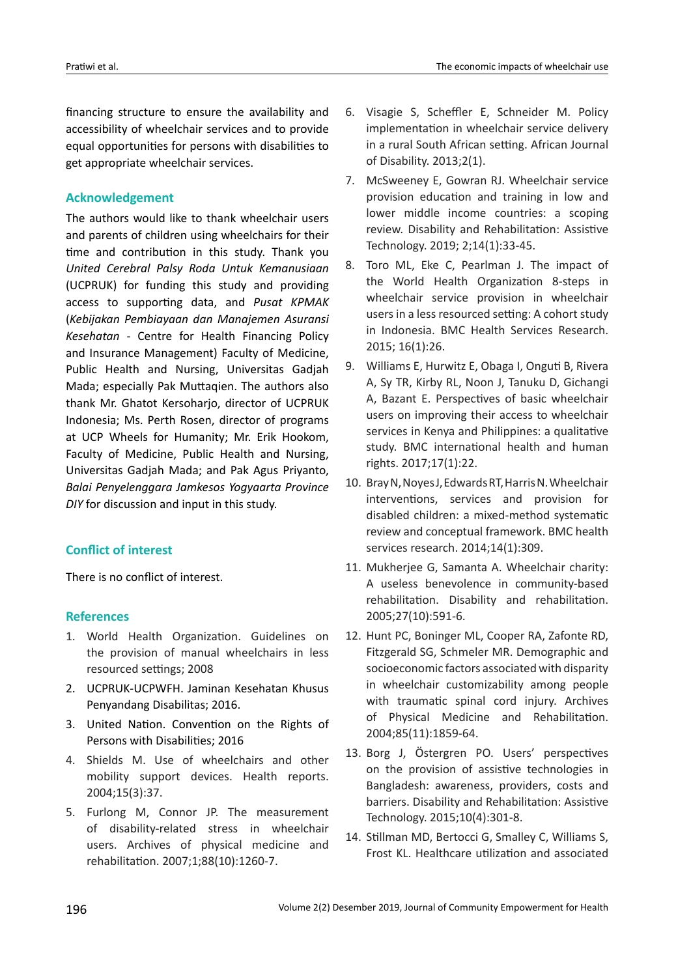financing structure to ensure the availability and accessibility of wheelchair services and to provide equal opportunities for persons with disabilities to get appropriate wheelchair services.

## **Acknowledgement**

The authors would like to thank wheelchair users and parents of children using wheelchairs for their time and contribution in this study. Thank you *United Cerebral Palsy Roda Untuk Kemanusiaan* (UCPRUK) for funding this study and providing access to supporting data, and *Pusat KPMAK* (*Kebijakan Pembiayaan dan Manajemen Asuransi Kesehatan* - Centre for Health Financing Policy and Insurance Management) Faculty of Medicine, Public Health and Nursing, Universitas Gadjah Mada; especially Pak Muttaqien. The authors also thank Mr. Ghatot Kersoharjo, director of UCPRUK Indonesia; Ms. Perth Rosen, director of programs at UCP Wheels for Humanity; Mr. Erik Hookom, Faculty of Medicine, Public Health and Nursing, Universitas Gadjah Mada; and Pak Agus Priyanto, *Balai Penyelenggara Jamkesos Yogyaarta Province DIY* for discussion and input in this study.

## **Conflict of interest**

There is no conflict of interest.

## **References**

- 1. World Health Organization. Guidelines on the provision of manual wheelchairs in less resourced settings; 2008
- 2. UCPRUK-UCPWFH. Jaminan Kesehatan Khusus Penyandang Disabilitas; 2016.
- 3. United Nation. Convention on the Rights of Persons with Disabilities; 2016
- 4. Shields M. Use of wheelchairs and other mobility support devices. Health reports. 2004;15(3):37.
- 5. Furlong M, Connor JP. The measurement of disability-related stress in wheelchair users. Archives of physical medicine and rehabilitation. 2007;1;88(10):1260-7.
- 6. Visagie S, Scheffler E, Schneider M. Policy implementation in wheelchair service delivery in a rural South African setting. African Journal of Disability. 2013;2(1).
- 7. McSweeney E, Gowran RJ. Wheelchair service provision education and training in low and lower middle income countries: a scoping review. Disability and Rehabilitation: Assistive Technology. 2019; 2;14(1):33-45.
- 8. Toro ML, Eke C, Pearlman J. The impact of the World Health Organization 8-steps in wheelchair service provision in wheelchair users in a less resourced setting: A cohort study in Indonesia. BMC Health Services Research. 2015; 16(1):26.
- 9. Williams E, Hurwitz E, Obaga I, Onguti B, Rivera A, Sy TR, Kirby RL, Noon J, Tanuku D, Gichangi A, Bazant E. Perspectives of basic wheelchair users on improving their access to wheelchair services in Kenya and Philippines: a qualitative study. BMC international health and human rights. 2017;17(1):22.
- 10. Bray N, Noyes J, Edwards RT, Harris N. Wheelchair interventions, services and provision for disabled children: a mixed-method systematic review and conceptual framework. BMC health services research. 2014;14(1):309.
- 11. Mukherjee G, Samanta A. Wheelchair charity: A useless benevolence in community-based rehabilitation. Disability and rehabilitation. 2005;27(10):591-6.
- 12. Hunt PC, Boninger ML, Cooper RA, Zafonte RD, Fitzgerald SG, Schmeler MR. Demographic and socioeconomic factors associated with disparity in wheelchair customizability among people with traumatic spinal cord injury. Archives of Physical Medicine and Rehabilitation. 2004;85(11):1859-64.
- 13. Borg J, Östergren PO. Users' perspectives on the provision of assistive technologies in Bangladesh: awareness, providers, costs and barriers. Disability and Rehabilitation: Assistive Technology. 2015;10(4):301-8.
- 14. Stillman MD, Bertocci G, Smalley C, Williams S, Frost KL. Healthcare utilization and associated